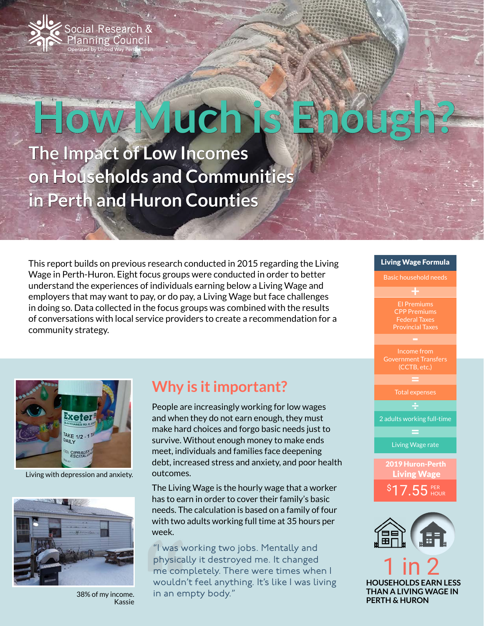

# **Much**

**The Impact of Low Incomes on Households and Communities in Perth and Huron Counties**

This report builds on previous research conducted in 2015 regarding the Living Wage in Perth-Huron. Eight focus groups were conducted in order to better understand the experiences of individuals earning below a Living Wage and employers that may want to pay, or do pay, a Living Wage but face challenges in doing so. Data collected in the focus groups was combined with the results of conversations with local service providers to create a recommendation for a community strategy.









1 in 2 **HOUSEHOLDS EARN LESS THAN A LIVING WAGE IN PERTH & HURON** 



Living with depression and anxiety.



38% of my income. Kassie

## **Why is it important?**

People are increasingly working for low wages and when they do not earn enough, they must make hard choices and forgo basic needs just to survive. Without enough money to make ends meet, individuals and families face deepening debt, increased stress and anxiety, and poor health outcomes.

The Living Wage is the hourly wage that a worker has to earn in order to cover their family's basic needs. The calculation is based on a family of four with two adults working full time at 35 hours per week.

"I was working two jobs. Mentally and physically it destroyed me. It changed me completely. There were times when I wouldn't feel anything. It's like I was living in an empty body."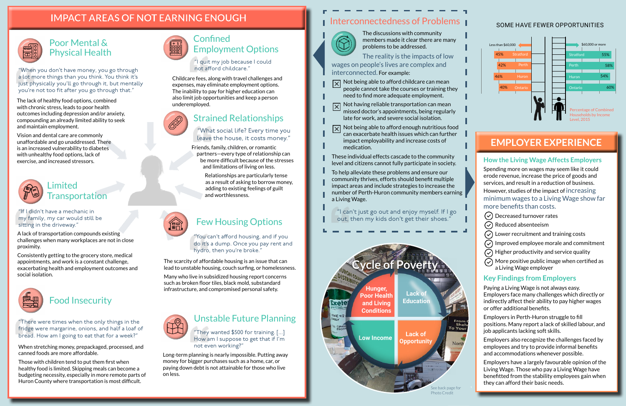#### SOME HAVE FEWER OPPORTUNITIES

## **IMPACT AREAS OF NOT EARNING ENOUGH**



## Food Insecurity

## Strained Relationships

When stretching money, prepackaged, processed, and canned foods are more affordable.

Those with children tend to put them first when healthy food is limited. Skipping meals can become a budgeting necessity, especially in more remote parts of Huron County where transportation is most difficult.



Friends, family, children, or romantic partners—every type of relationship can be more difficult because of the stresses and limitations of living on less.

> Relationships are particularly tense as a result of asking to borrow money, adding to existing feelings of guilt and worthlessness.

# Few Housing Options

The scarcity of affordable housing is an issue that can lead to unstable housing, couch surfing, or homelessness.

Many who live in subsidized housing report concerns such as broken floor tiles, black mold, substandard infrastructure, and compromised personal safety.



- $\overline{X}$  Not being able to afford childcare can mean people cannot take the courses or training they need to find more adequate employment.
- $\boxed{\times}$  Not having reliable transportation can mean missed doctor's appointments, being regularly late for work, and severe social isolation.
- Not being able to afford enough nutritious food  $\boldsymbol{\times}$
- can exacerbate health issues which can further impact employability and increase costs of medication.
- These individual effects cascade to the community level and citizens cannot fully participate in society.
- To help alleviate these problems and ensure our community thrives, efforts should benefit multiple impact areas and include strategies to increase the number of Perth-Huron community members earning a Living Wage.

## **Confined** Employment Options

The discussions with community members made it clear there are many problems to be addressed.

The reality is the impacts of low wages on people's lives are complex and interconnected. For example:

- $\circ$  Decreased turnover rates
- $(\checkmark)$  Reduced absenteeism
- $\odot$  Lower recruitment and training costs
- $\circledcirc$  Improved employee morale and commitment
- $\odot$  Higher productivity and service quality
- $\circledcirc$  More positive public image when certified as a Living Wage employer

Childcare fees, along with travel challenges and expenses, may eliminate employment options. The inability to pay for higher education can also limit job opportunities and keep a person underemployed.



#### Limited **Transportation**

"I quit my job because I could not afford childcare."

"There were times when the only things in the fridge were margarine, onions, and half a loaf of bread. How am I going to eat that for a week?"

#### "What social life? Every time you leave the house, it costs money."

### Poor Mental & Physical Health

The lack of healthy food options, combined with chronic stress, leads to poor health outcomes including depression and/or anxiety, compounding an already limited ability to seek and maintain employment.

Vision and dental care are commonly unaffordable and go unaddressed. There is an increased vulnerability to diabetes with unhealthy food options, lack of exercise, and increased stressors.



"When you don't have money, you go through a lot more things than you think. You think it's just physically you'll go through it, but mentally you're not too fit after you go through that."

#### **How the Living Wage Affects Employers**

Spending more on wages may seem like it could erode revenue, increase the price of goods and services, and result in a reduction of business.

However, studies of the impact of increasing minimum wages to a Living Wage show far more benefits than costs.

#### **Key Findings from Employers**

Paying a Living Wage is not always easy. Employers face many challenges which directly or indirectly affect their ability to pay higher wages or offer additional benefits.

Employers in Perth-Huron struggle to fill positions. Many report a lack of skilled labour, and job applicants lacking soft skills.

Employers also recognize the challenges faced by employees and try to provide informal benefits and accommodations whenever possible.

Employers have a largely favourable opinion of the Living Wage. Those who pay a Living Wage have benefitted from the stability employees gain when they can afford their basic needs.

"You can't afford housing, and if you do it's a dump. Once you pay rent and hydro, then you're broke."

## **EMPLOYER EXPERIENCE**

A lack of transportation compounds existing challenges when many workplaces are not in close proximity.

Consistently getting to the grocery store, medical appointments, and work is a constant challenge, exacerbating health and employment outcomes and social isolation.



## Unstable Future Planning

Long-term planning is nearly impossible. Putting away money for bigger purchases such as a home, car, or paying down debt is not attainable for those who live on less.

## **I** Interconnectedness of Problems



"They wanted \$500 for training. [...] How am I suppose to get that if I'm not even working?"

"I can't just go out and enjoy myself. If I go out, then my kids don't get their shoes."

"If I didn't have a mechanic in my family, my car would still be sitting in the driveway."